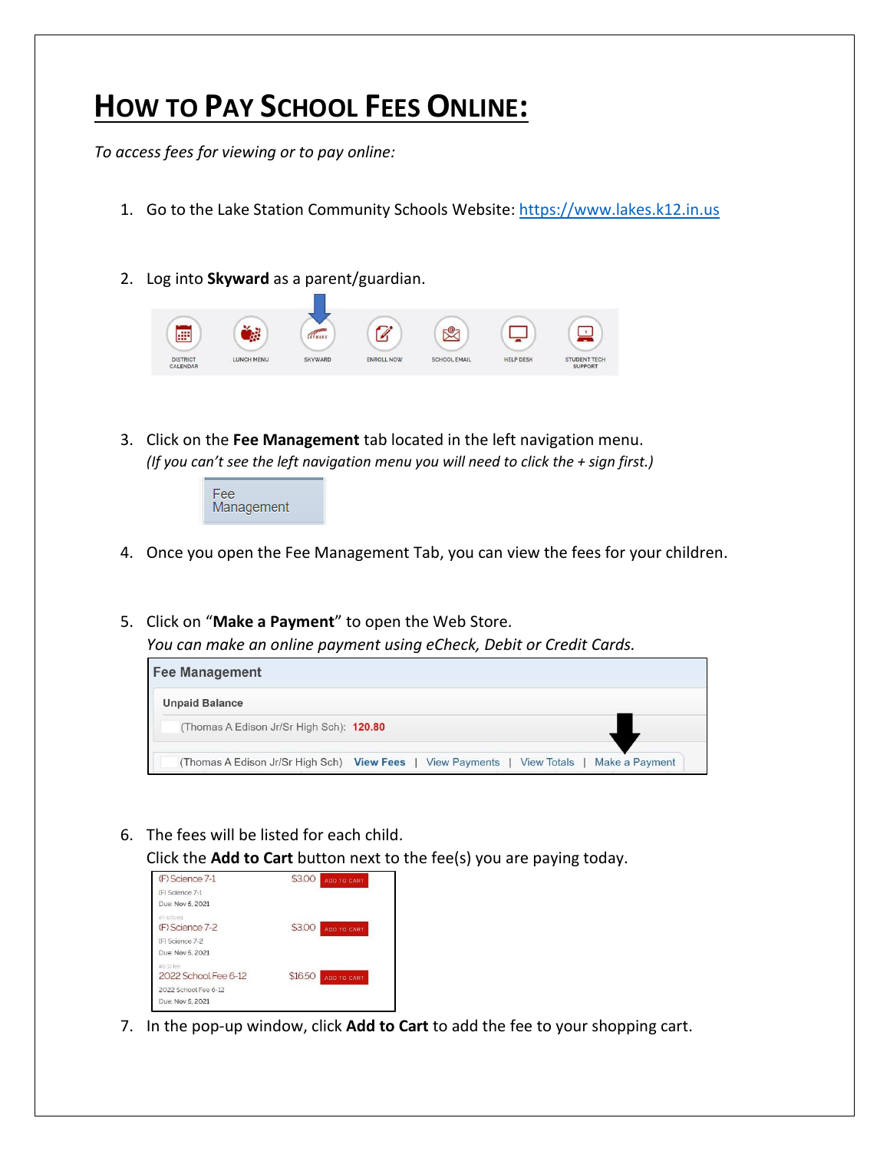## **HOW TO PAY SCHOOL FEES ONLINE:**

*To access fees for viewing or to pay online:*

- 1. Go to the Lake Station Community Schools Website: [https://www.lakes.k12.in.us](https://www.lakes.k12.in.us/)
- 2. Log into **Skyward** as a parent/guardian.



3. Click on the **Fee Management** tab located in the left navigation menu. *(If you can't see the left navigation menu you will need to click the + sign first.)*



- 4. Once you open the Fee Management Tab, you can view the fees for your children.
- 5. Click on "**Make a Payment**" to open the Web Store. *You can make an online payment using eCheck, Debit or Credit Cards.*

| <b>Fee Management</b>                                                                       |
|---------------------------------------------------------------------------------------------|
| <b>Unpaid Balance</b>                                                                       |
| (Thomas A Edison Jr/Sr High Sch): 120.80                                                    |
| (Thomas A Edison Jr/Sr High Sch) View Fees   View Payments<br>Make a Payment<br>View Totals |

6. The fees will be listed for each child.

Click the **Add to Cart** button next to the fee(s) you are paying today.

| (F) Science 7-1                   | \$3.00<br><b>ADD TO CART</b> |
|-----------------------------------|------------------------------|
| (F) Science 7-1                   |                              |
| Due: Nov 5, 2021                  |                              |
| #F-570461<br>(F) Science 7-2      | \$3.00<br>ADD TO CART        |
| (F) Science 7-2                   |                              |
| Due: Nov 5, 2021                  |                              |
| #6-12 fee<br>2022 School Fee 6-12 | \$16.50<br>ADD TO CART       |
| 2022 School Fee 6-12              |                              |
| Due: Nov 5, 2021                  |                              |

7. In the pop-up window, click **Add to Cart** to add the fee to your shopping cart.